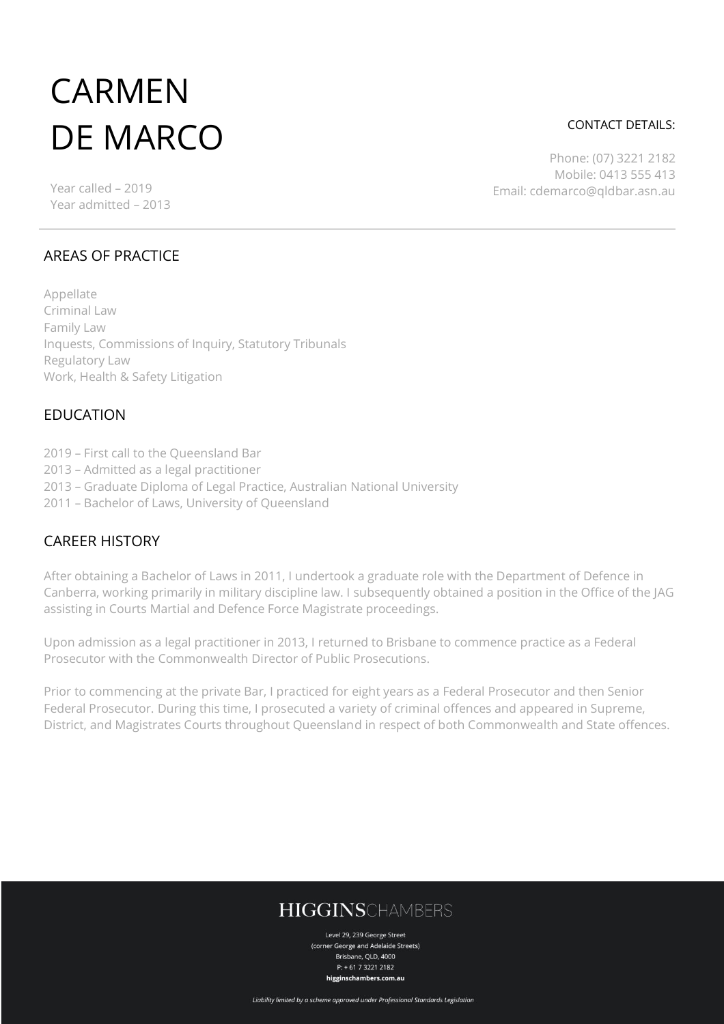# CARMEN DE MARCO

Year called – 2019 Year admitted – 2013

#### CONTACT DETAILS:

Phone: (07) 3221 2182 Mobile: 0413 555 413 Email: cdemarco@qldbar.asn.au

#### AREAS OF PRACTICE

Appellate Criminal Law Family Law Inquests, Commissions of Inquiry, Statutory Tribunals Regulatory Law Work, Health & Safety Litigation

#### EDUCATION

- 2019 First call to the Queensland Bar
- 2013 Admitted as a legal practitioner
- 2013 Graduate Diploma of Legal Practice, Australian National University
- 2011 Bachelor of Laws, University of Queensland

### CAREER HISTORY

After obtaining a Bachelor of Laws in 2011, I undertook a graduate role with the Department of Defence in Canberra, working primarily in military discipline law. I subsequently obtained a position in the Office of the JAG assisting in Courts Martial and Defence Force Magistrate proceedings.

Upon admission as a legal practitioner in 2013, I returned to Brisbane to commence practice as a Federal Prosecutor with the Commonwealth Director of Public Prosecutions.

Prior to commencing at the private Bar, I practiced for eight years as a Federal Prosecutor and then Senior Federal Prosecutor. During this time, I prosecuted a variety of criminal offences and appeared in Supreme, District, and Magistrates Courts throughout Queensland in respect of both Commonwealth and State offences.

# **HIGGINSCHAMBERS**

Level 29, 239 George Street (corner George and Adelaide Streets) Brisbane, QLD, 4000 P: + 61 7 3221 2182 higginschambers.com.au

Liability limited by a scheme approved under Professional Standards Legislation